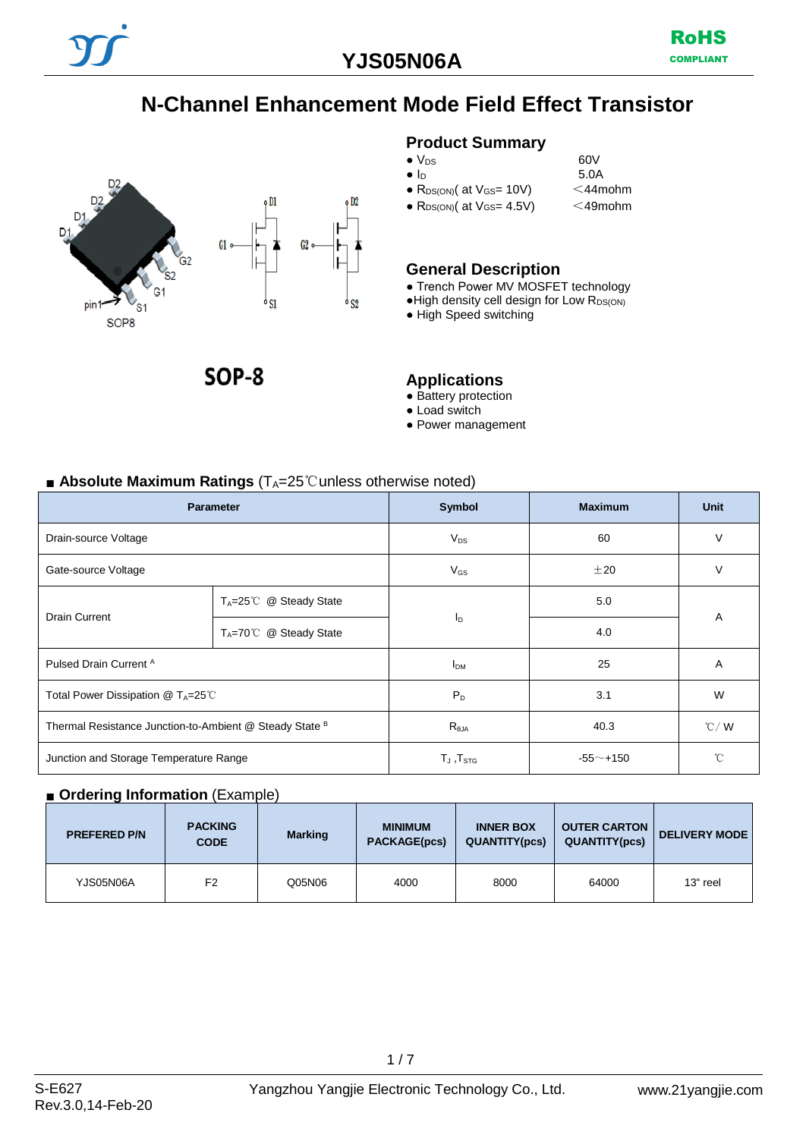# **N-Channel Enhancement Mode Field Effect Transistor**



SOP-8

### **Product Summary**

- $\bullet$  V<sub>DS</sub> 60V<br>  $\bullet$  I<sub>D</sub> 5.0A
- $\bullet$  R<sub>DS(ON)</sub>( at V<sub>GS</sub>= 10V)
- $R_{DS(ON)}$ ( at  $V_{GS} = 4.5V$ ) <49mohm

# **General Description**

- Trench Power MV MOSFET technology
- $\bullet$  High density cell design for Low  $R_{DS(ON)}$

 $5.0A$ <br> $<$ 44mohm

● High Speed switching

#### **Applications**

- Battery protection
- Load switch
- Power management

#### ■ **Absolute Maximum Ratings** (T<sub>A</sub>=25℃unless otherwise noted)

| <b>Parameter</b>                                        |                                          | Symbol            | <b>Maximum</b> | <b>Unit</b>       |  |
|---------------------------------------------------------|------------------------------------------|-------------------|----------------|-------------------|--|
| Drain-source Voltage                                    |                                          | $V_{DS}$          | 60             | $\vee$            |  |
| Gate-source Voltage                                     |                                          | $V_{GS}$          | $\pm 20$       | V                 |  |
| <b>Drain Current</b>                                    | T <sub>A</sub> =25℃ @ Steady State       |                   | 5.0            | A                 |  |
|                                                         | $T_A = 70^\circ \text{C}$ @ Steady State | $I_{\text{D}}$    | 4.0            |                   |  |
| Pulsed Drain Current A                                  |                                          | I <sub>DM</sub>   | 25             | A                 |  |
| Total Power Dissipation @ TA=25℃                        |                                          | $P_D$             | 3.1            | W                 |  |
| Thermal Resistance Junction-to-Ambient @ Steady State B |                                          | $R_{\theta$ JA    | 40.3           | $\mathcal{C}$ / W |  |
| Junction and Storage Temperature Range                  |                                          | $T_J$ , $T_{STG}$ | $-55$ ~+150    | °C                |  |

#### ■ **Ordering Information** (Example)

| <b>PREFERED P/N</b> | <b>PACKING</b><br><b>CODE</b> | <b>Marking</b> | <b>MINIMUM</b><br><b>PACKAGE(pcs)</b> | <b>INNER BOX</b><br><b>QUANTITY(pcs)</b> | <b>OUTER CARTON</b><br><b>QUANTITY(pcs)</b> | <b>DELIVERY MODE</b> |
|---------------------|-------------------------------|----------------|---------------------------------------|------------------------------------------|---------------------------------------------|----------------------|
| YJS05N06A           | F <sub>2</sub>                | Q05N06         | 4000                                  | 8000                                     | 64000                                       | 13" reel             |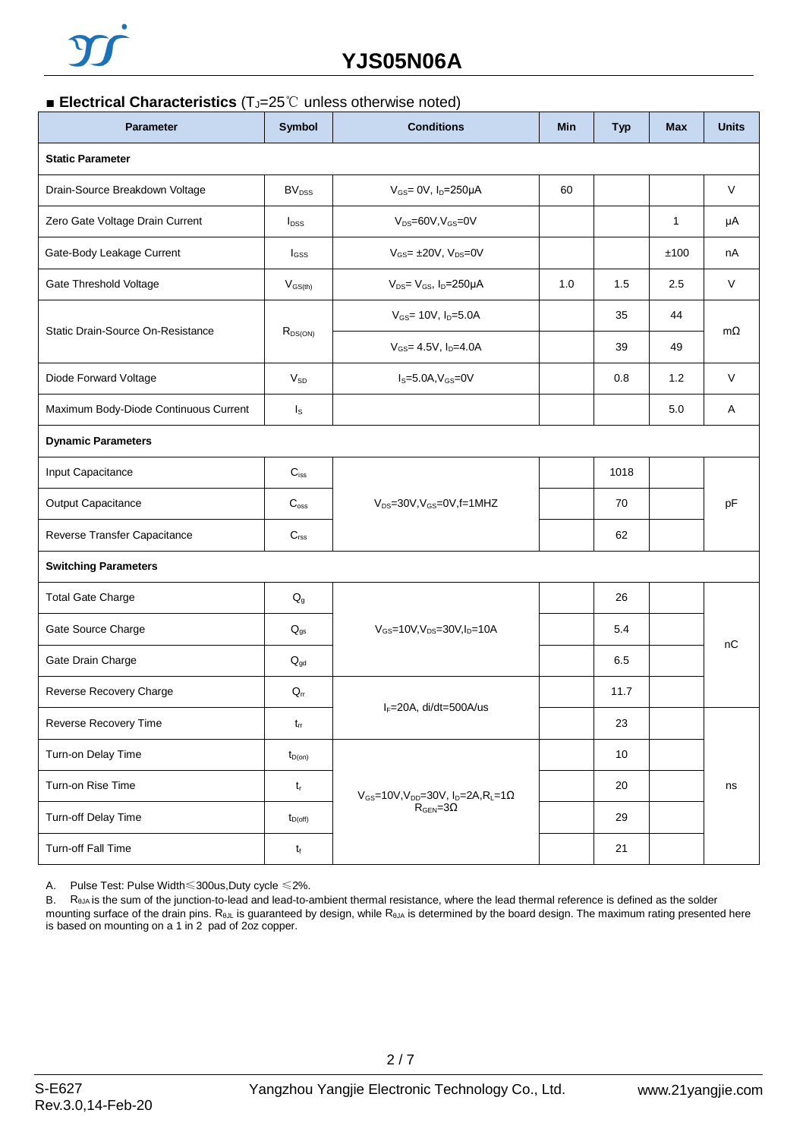

# **YJS05N06A**

#### ■ **Electrical Characteristics** (T<sub>J</sub>=25<sup>°</sup>C unless otherwise noted)

| <b>Parameter</b>                      | <b>Symbol</b>             | <b>Conditions</b><br><b>Min</b>                                                     |     | <b>Typ</b> | <b>Max</b> | <b>Units</b> |  |
|---------------------------------------|---------------------------|-------------------------------------------------------------------------------------|-----|------------|------------|--------------|--|
| <b>Static Parameter</b>               |                           |                                                                                     |     |            |            |              |  |
| Drain-Source Breakdown Voltage        | <b>BV</b> <sub>DSS</sub>  | $V_{GS} = 0V$ , $I_D = 250\mu A$                                                    | 60  |            |            | V            |  |
| Zero Gate Voltage Drain Current       | $I_{DSS}$                 | $V_{DS}=60V, V_{GS}=0V$                                                             |     |            | 1          | μA           |  |
| Gate-Body Leakage Current             | $I_{GSS}$                 | $V_{GS}$ = $\pm$ 20V, $V_{DS}$ = 0V                                                 |     |            | ±100       | nA           |  |
| Gate Threshold Voltage                | $V_{GS(th)}$              | $V_{DS} = V_{GS}$ , $I_D = 250 \mu A$                                               | 1.0 | 1.5        | 2.5        | $\vee$       |  |
|                                       |                           | $V_{GS}$ = 10V, $I_D$ =5.0A                                                         |     | 35         | 44         | $m\Omega$    |  |
| Static Drain-Source On-Resistance     | $R_{DS(ON)}$              | $V_{GS}$ = 4.5V, $I_{D}$ =4.0A                                                      |     | 39         | 49         |              |  |
| Diode Forward Voltage                 | $V_{SD}$                  | $I_S = 5.0A, V_{GS} = 0V$                                                           |     | 0.8        | 1.2        | V            |  |
| Maximum Body-Diode Continuous Current | $I_{\rm S}$               |                                                                                     |     |            | 5.0        | Α            |  |
| <b>Dynamic Parameters</b>             |                           |                                                                                     |     |            |            |              |  |
| Input Capacitance                     | $C_{iss}$                 |                                                                                     |     | 1018       |            | pF           |  |
| Output Capacitance                    | $C_{\text{oss}}$          | $V_{DS}$ =30V, $V_{GS}$ =0V, f=1MHZ                                                 |     | 70         |            |              |  |
| Reverse Transfer Capacitance          | $C_{\text{rss}}$          |                                                                                     |     | 62         |            |              |  |
| <b>Switching Parameters</b>           |                           |                                                                                     |     |            |            |              |  |
| <b>Total Gate Charge</b>              | $\mathsf{Q}_{\mathsf{g}}$ |                                                                                     |     | 26         |            |              |  |
| Gate Source Charge                    | $Q_{gs}$                  | $V_{GS}$ =10V,V <sub>DS</sub> =30V,I <sub>D</sub> =10A                              |     | 5.4        |            | nC           |  |
| Gate Drain Charge                     | $Q_{gd}$                  |                                                                                     |     | 6.5        |            |              |  |
| Reverse Recovery Charge               | $\mathsf{Q}_\mathsf{rr}$  | IF=20A, di/dt=500A/us                                                               |     | 11.7       |            |              |  |
| Reverse Recovery Time                 | $t_{rr}$                  |                                                                                     |     | 23         |            |              |  |
| Turn-on Delay Time                    | $t_{D(on)}$               |                                                                                     |     | 10         |            |              |  |
| Turn-on Rise Time                     | $t_{\sf r}$               | $V_{GS}$ =10V, V <sub>DD</sub> =30V, I <sub>D</sub> =2A, R <sub>L</sub> =1 $\Omega$ |     | 20         |            | ns           |  |
| Turn-off Delay Time                   | $t_{D(off)}$              | $R_{\text{GEN}} = 3\Omega$                                                          |     | 29         |            |              |  |
| Turn-off Fall Time                    | $t_{\rm f}$               |                                                                                     |     | 21         |            |              |  |

A. Pulse Test: Pulse Width≤300us,Duty cycle ≤2%.

B. R<sub>θJA</sub> is the sum of the junction-to-lead and lead-to-ambient thermal resistance, where the lead thermal reference is defined as the solder mounting surface of the drain pins. R<sub>θJL</sub> is guaranteed by design, while R<sub>θJA</sub> is determined by the board design. The maximum rating presented here is based on mounting on a 1 in 2 pad of 2oz copper.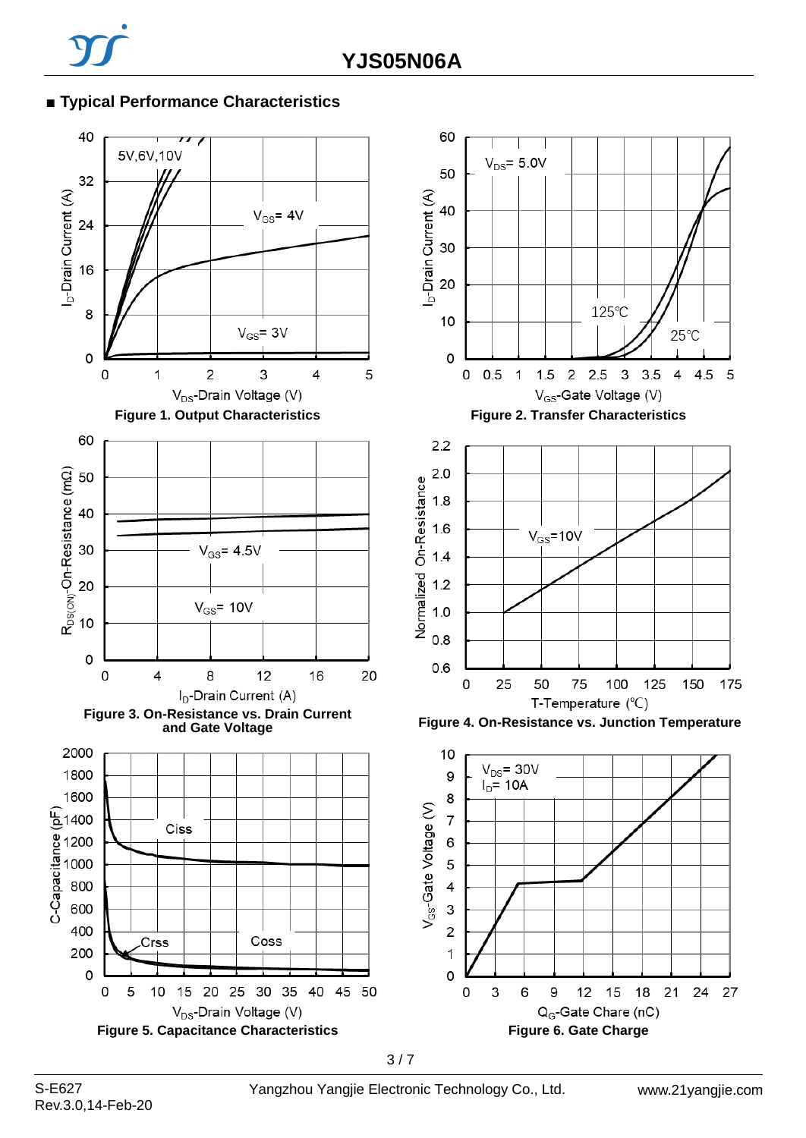## **■ Typical Performance Characteristics**

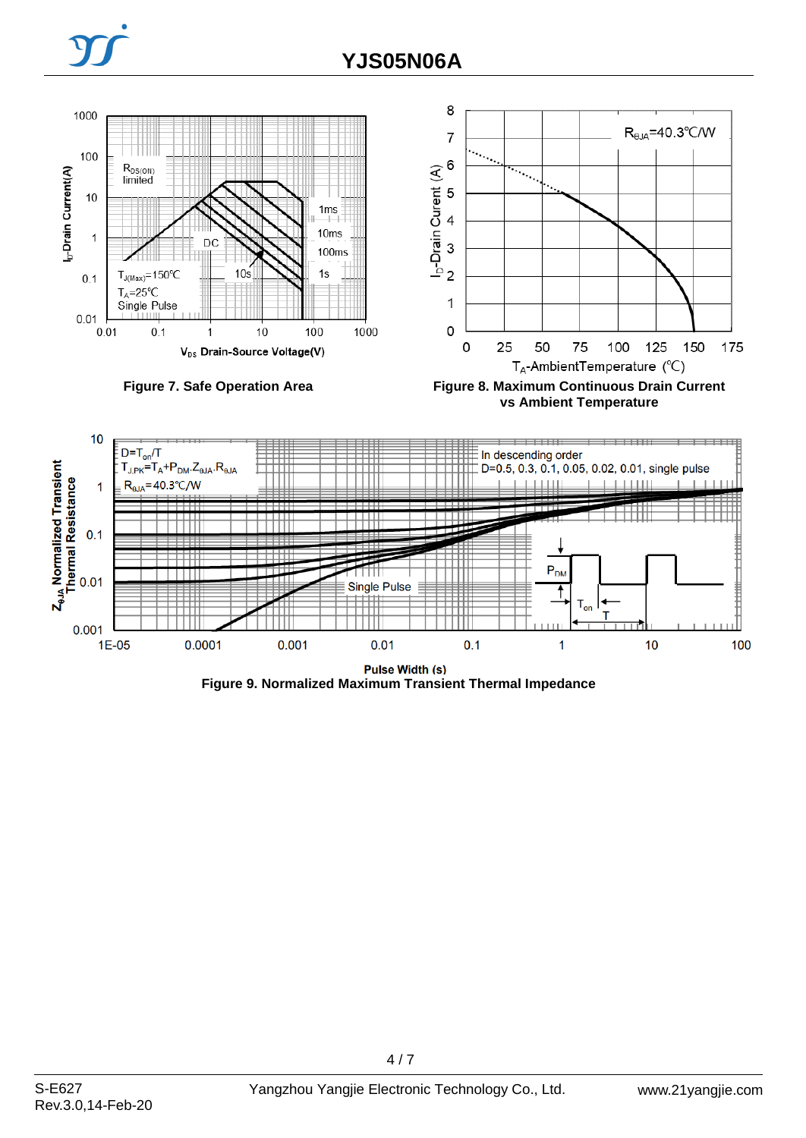

**vs Ambient Temperature**



**Figure 9. Normalized Maximum Transient Thermal Impedance**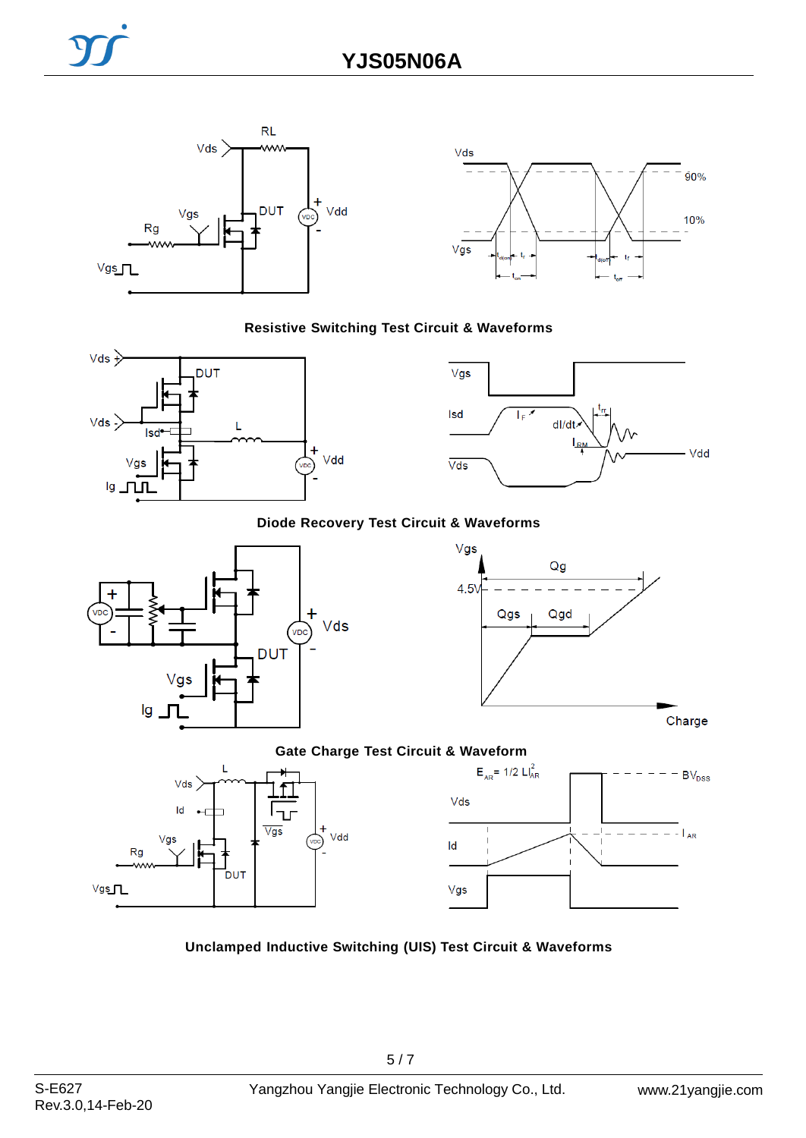



#### **Resistive Switching Test Circuit & Waveforms**





## **Diode Recovery Test Circuit & Waveforms**





Charge

### **Gate Charge Test Circuit & Waveform**





#### **Unclamped Inductive Switching (UIS) Test Circuit & Waveforms**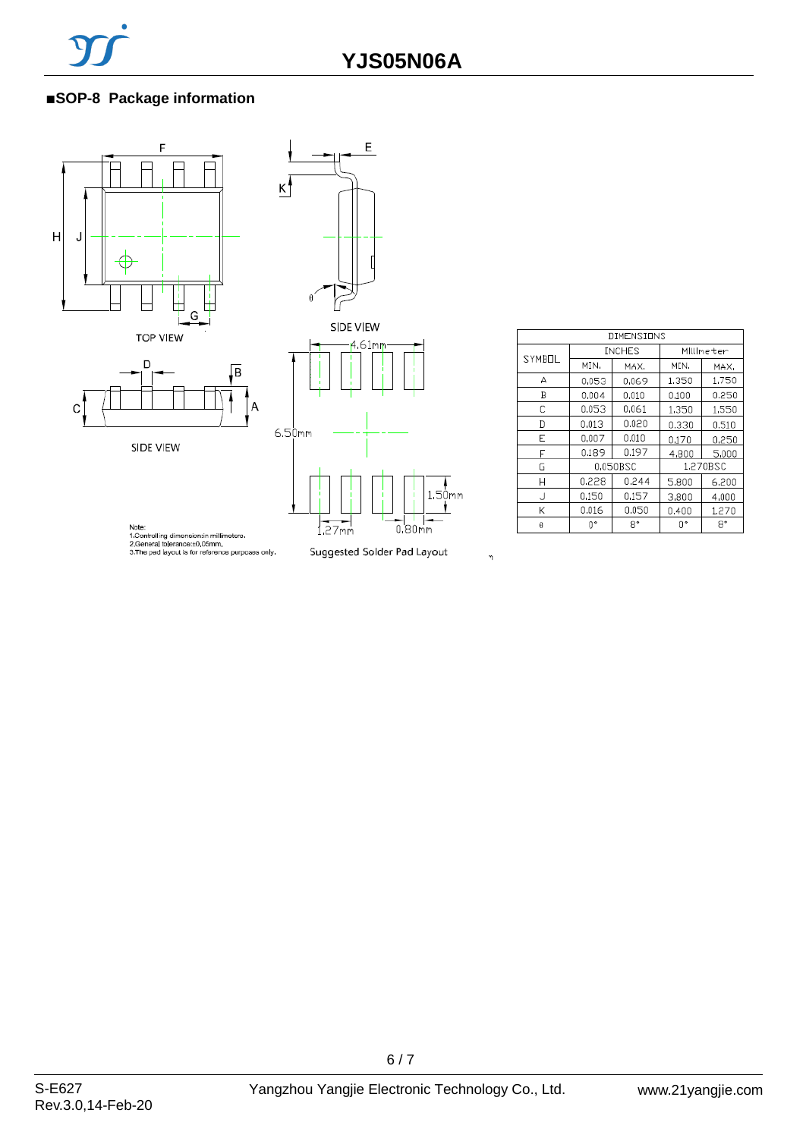## ■**SOP-8 Package information**





SIDE VIEW



| DIMENSIONS |               |       |           |       |  |
|------------|---------------|-------|-----------|-------|--|
| SYMBOL     | <b>INCHES</b> |       | Millmeter |       |  |
|            | MIN.          | MAX.  | MIN.      | MAX.  |  |
| А          | 0.053         | 0.069 | 1.350     | 1,750 |  |
| B          | 0,004         | 0,010 | 0,100     | 0.250 |  |
| С          | 0.053         | 0.061 | 1,350     | 1,550 |  |
| D          | 0,013         | 0.020 | 0.330     | 0.510 |  |
| E          | 0,007         | 0.010 | 0,170     | 0,250 |  |
| F          | 0.189         | 0.197 | 4,800     | 5,000 |  |
| G          | 0.050BSC      |       | 1.270BSC  |       |  |
| Н          | 0.228         | 0.244 | 5,800     | 6.200 |  |
| J          | 0.150         | 0.157 | 3,800     | 4,000 |  |
| К          | 0.016         | 0.050 | 0.400     | 1,270 |  |
| θ          |               | 8°    | O۰        | 8°    |  |

Note:<br>1.Controlling dimension:in millimeters.<br>2.General tolerance::t0,05mm,<br>3.The pad layout is for reference purposes only.

Suggested Solder Pad Layout

 $\eta$